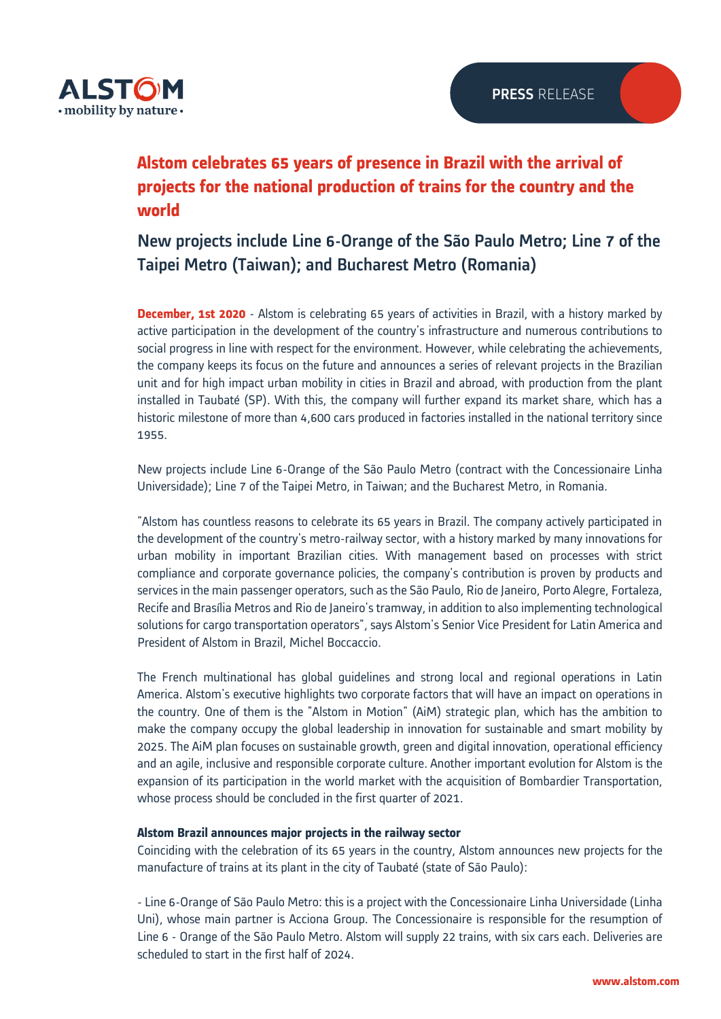

# **Alstom celebrates 65 years of presence in Brazil with the arrival of projects for the national production of trains for the country and the world**

## New projects include Line 6-Orange of the São Paulo Metro; Line 7 of the Taipei Metro (Taiwan); and Bucharest Metro (Romania)

**December, 1st 2020** - Alstom is celebrating 65 years of activities in Brazil, with a history marked by active participation in the development of the country's infrastructure and numerous contributions to social progress in line with respect for the environment. However, while celebrating the achievements, the company keeps its focus on the future and announces a series of relevant projects in the Brazilian unit and for high impact urban mobility in cities in Brazil and abroad, with production from the plant installed in Taubaté (SP). With this, the company will further expand its market share, which has a historic milestone of more than 4,600 cars produced in factories installed in the national territory since 1955.

New projects include Line 6-Orange of the São Paulo Metro (contract with the Concessionaire Linha Universidade); Line 7 of the Taipei Metro, in Taiwan; and the Bucharest Metro, in Romania.

"Alstom has countless reasons to celebrate its 65 years in Brazil. The company actively participated in the development of the country's metro-railway sector, with a history marked by many innovations for urban mobility in important Brazilian cities. With management based on processes with strict compliance and corporate governance policies, the company's contribution is proven by products and services in the main passenger operators, such as the São Paulo, Rio de Janeiro, Porto Alegre, Fortaleza, Recife and Brasília Metros and Rio de Janeiro's tramway, in addition to also implementing technological solutions for cargo transportation operators", says Alstom's Senior Vice President for Latin America and President of Alstom in Brazil, Michel Boccaccio.

The French multinational has global guidelines and strong local and regional operations in Latin America. Alstom's executive highlights two corporate factors that will have an impact on operations in the country. One of them is the "Alstom in Motion" (AiM) strategic plan, which has the ambition to make the company occupy the global leadership in innovation for sustainable and smart mobility by 2025. The AiM plan focuses on sustainable growth, green and digital innovation, operational efficiency and an agile, inclusive and responsible corporate culture. Another important evolution for Alstom is the expansion of its participation in the world market with the acquisition of Bombardier Transportation, whose process should be concluded in the first quarter of 2021.

## **Alstom Brazil announces major projects in the railway sector**

Coinciding with the celebration of its 65 years in the country, Alstom announces new projects for the manufacture of trains at its plant in the city of Taubaté (state of São Paulo):

- Line 6-Orange of São Paulo Metro: this is a project with the Concessionaire Linha Universidade (Linha Uni), whose main partner is Acciona Group. The Concessionaire is responsible for the resumption of Line 6 - Orange of the São Paulo Metro. Alstom will supply 22 trains, with six cars each. Deliveries are scheduled to start in the first half of 2024.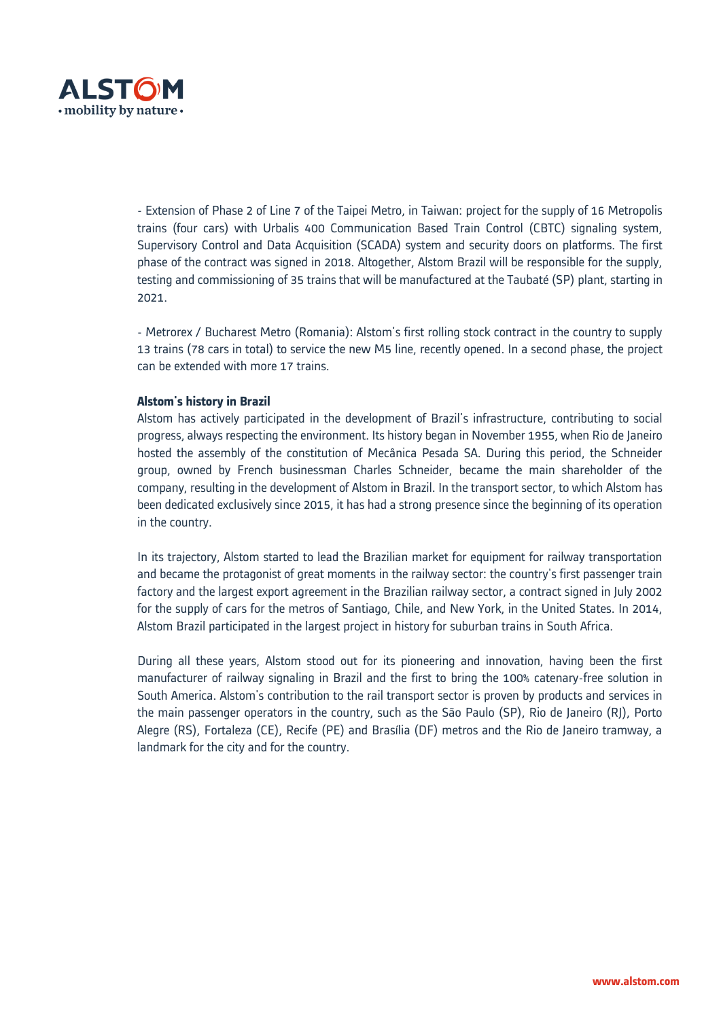

- Extension of Phase 2 of Line 7 of the Taipei Metro, in Taiwan: project for the supply of 16 Metropolis trains (four cars) with Urbalis 400 Communication Based Train Control (CBTC) signaling system, Supervisory Control and Data Acquisition (SCADA) system and security doors on platforms. The first phase of the contract was signed in 2018. Altogether, Alstom Brazil will be responsible for the supply, testing and commissioning of 35 trains that will be manufactured at the Taubaté (SP) plant, starting in 2021.

- Metrorex / Bucharest Metro (Romania): Alstom's first rolling stock contract in the country to supply 13 trains (78 cars in total) to service the new M5 line, recently opened. In a second phase, the project can be extended with more 17 trains.

## **Alstom's history in Brazil**

Alstom has actively participated in the development of Brazil's infrastructure, contributing to social progress, always respecting the environment. Its history began in November 1955, when Rio de Janeiro hosted the assembly of the constitution of Mecânica Pesada SA. During this period, the Schneider group, owned by French businessman Charles Schneider, became the main shareholder of the company, resulting in the development of Alstom in Brazil. In the transport sector, to which Alstom has been dedicated exclusively since 2015, it has had a strong presence since the beginning of its operation in the country.

In its trajectory, Alstom started to lead the Brazilian market for equipment for railway transportation and became the protagonist of great moments in the railway sector: the country's first passenger train factory and the largest export agreement in the Brazilian railway sector, a contract signed in July 2002 for the supply of cars for the metros of Santiago, Chile, and New York, in the United States. In 2014, Alstom Brazil participated in the largest project in history for suburban trains in South Africa.

During all these years, Alstom stood out for its pioneering and innovation, having been the first manufacturer of railway signaling in Brazil and the first to bring the 100% catenary-free solution in South America. Alstom's contribution to the rail transport sector is proven by products and services in the main passenger operators in the country, such as the São Paulo (SP), Rio de Janeiro (RJ), Porto Alegre (RS), Fortaleza (CE), Recife (PE) and Brasília (DF) metros and the Rio de Janeiro tramway, a landmark for the city and for the country.